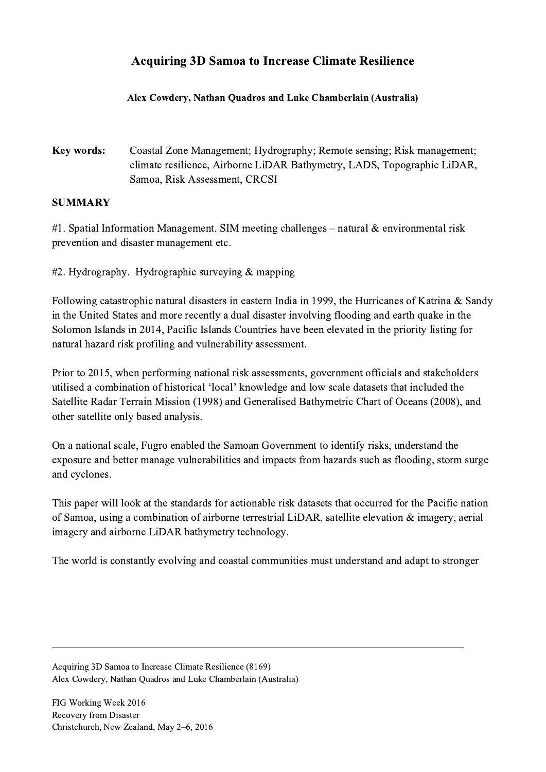## Acquiring 3D Samoa to Increase Climate Resilience

## Alex Cowdery, Nathan Quadros and Luke Chamberlain (Australia)

Key words: Coastal Zone Management; Hydrography; Remote sensing; Risk management; climate resilience, Airborne LiDAR Bathymetry, LADS, Topographic LiDAR, Samoa, Risk Assessment, CRCSI

## SUMMARY

#1. Spatial Information Management. SIM meeting challenges – natural  $\&$  environmental risk prevention and disaster management etc.

#2. Hydrography. Hydrographic surveying & mapping

Following catastrophic natural disasters in eastern India in 1999, the Hurricanes of Katrina & Sandy in the United States and more recently a dual disaster involving flooding and earth quake in the Solomon Islands in 2014, Pacific Islands Countries have been elevated in the priority listing for natural hazard risk profiling and vulnerability assessment.

Prior to 2015, when performing national risk assessments, government officials and stakeholders utilised a combination of historical 'local' knowledge and low scale datasets that included the Satellite Radar Terrain Mission (1998) and Generalised Bathymetric Chart of Oceans (2008), and other satellite only based analysis.

On a national scale, Fugro enabled the Samoan Government to identify risks, understand the exposure and better manage vulnerabilities and impacts from hazards such as flooding, storm surge and cyclones.

This paper will look at the standards for actionable risk datasets that occurred for the Pacific nation of Samoa, using a combination of airborne terrestrial LiDAR, satellite elevation & imagery, aerial imagery and airborne LiDAR bathymetry technology.

The world is constantly evolving and coastal communities must understand and adapt to stronger

 $\mathcal{L}_\mathcal{L} = \{ \mathcal{L}_\mathcal{L} = \{ \mathcal{L}_\mathcal{L} = \{ \mathcal{L}_\mathcal{L} = \{ \mathcal{L}_\mathcal{L} = \{ \mathcal{L}_\mathcal{L} = \{ \mathcal{L}_\mathcal{L} = \{ \mathcal{L}_\mathcal{L} = \{ \mathcal{L}_\mathcal{L} = \{ \mathcal{L}_\mathcal{L} = \{ \mathcal{L}_\mathcal{L} = \{ \mathcal{L}_\mathcal{L} = \{ \mathcal{L}_\mathcal{L} = \{ \mathcal{L}_\mathcal{L} = \{ \mathcal{L}_\mathcal{$ 

Acquiring 3D Samoa to Increase Climate Resilience (8169) Alex Cowdery, Nathan Quadros and Luke Chamberlain (Australia)